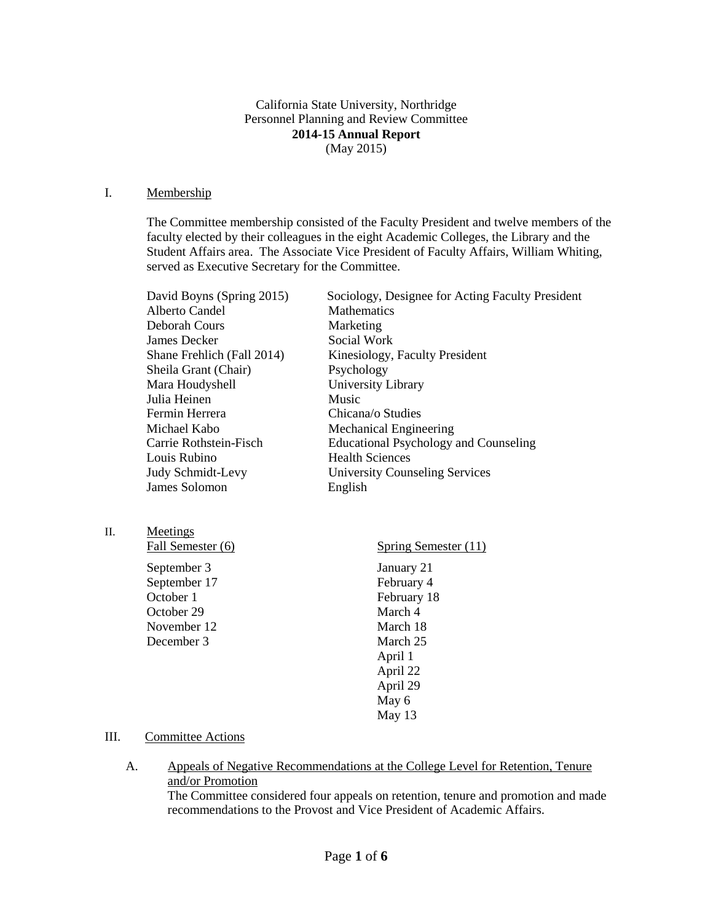California State University, Northridge Personnel Planning and Review Committee **2014-15 Annual Report** (May 2015)

#### I. Membership

The Committee membership consisted of the Faculty President and twelve members of the faculty elected by their colleagues in the eight Academic Colleges, the Library and the Student Affairs area. The Associate Vice President of Faculty Affairs, William Whiting, served as Executive Secretary for the Committee.

| David Boyns (Spring 2015)  | Sociology, Designee for Acting Faculty President |
|----------------------------|--------------------------------------------------|
| Alberto Candel             | <b>Mathematics</b>                               |
| Deborah Cours              | Marketing                                        |
| James Decker               | Social Work                                      |
| Shane Frehlich (Fall 2014) | Kinesiology, Faculty President                   |
| Sheila Grant (Chair)       | Psychology                                       |
| Mara Houdyshell            | University Library                               |
| Julia Heinen               | Music                                            |
| Fermin Herrera             | Chicana/o Studies                                |
| Michael Kabo               | <b>Mechanical Engineering</b>                    |
| Carrie Rothstein-Fisch     | <b>Educational Psychology and Counseling</b>     |
| Louis Rubino               | <b>Health Sciences</b>                           |
| Judy Schmidt-Levy          | <b>University Counseling Services</b>            |
| James Solomon              | English                                          |
|                            |                                                  |
|                            |                                                  |
| <b>Meetings</b>            |                                                  |
| Fall Semester (6)          | Spring Semester (11)                             |

 $II.$ Fall Semester (6) September 3 September 17 October 1 October 29 November 12 December 3 January 21 February 4 February 18 March 4 March 18 March 25 April 1 April 22 April 29 May 6 May 13

### III. Committee Actions

A. Appeals of Negative Recommendations at the College Level for Retention, Tenure and/or Promotion The Committee considered four appeals on retention, tenure and promotion and made recommendations to the Provost and Vice President of Academic Affairs.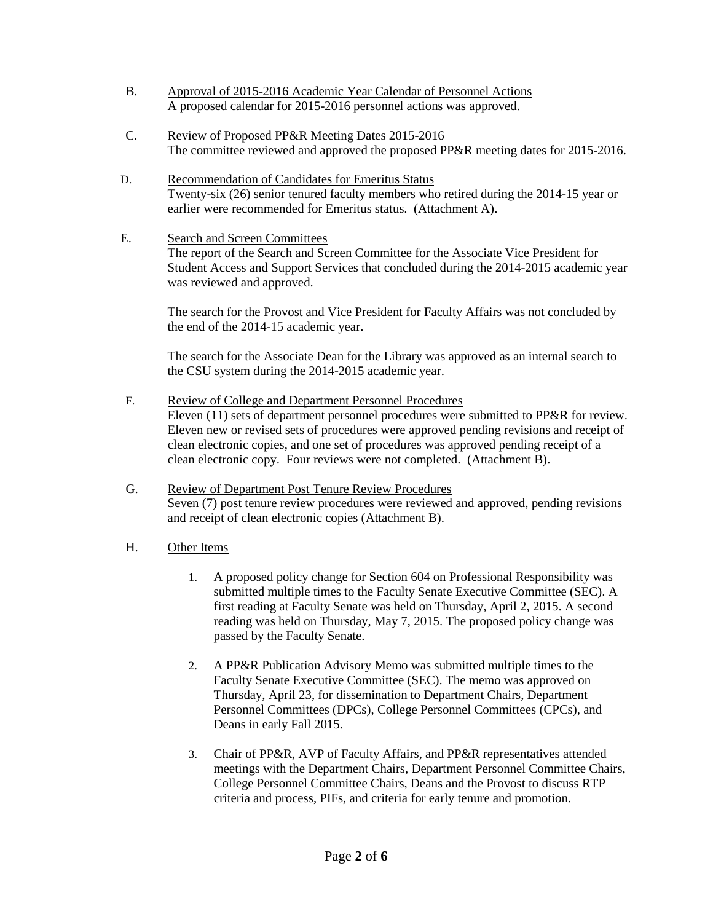- B. Approval of 2015-2016 Academic Year Calendar of Personnel Actions A proposed calendar for 2015-2016 personnel actions was approved.
- C. Review of Proposed PP&R Meeting Dates 2015-2016 The committee reviewed and approved the proposed PP&R meeting dates for 2015-2016.
- D. Recommendation of Candidates for Emeritus Status Twenty-six (26) senior tenured faculty members who retired during the 2014-15 year or earlier were recommended for Emeritus status. (Attachment A).
- E. Search and Screen Committees

The report of the Search and Screen Committee for the Associate Vice President for Student Access and Support Services that concluded during the 2014-2015 academic year was reviewed and approved.

The search for the Provost and Vice President for Faculty Affairs was not concluded by the end of the 2014-15 academic year.

The search for the Associate Dean for the Library was approved as an internal search to the CSU system during the 2014-2015 academic year.

- F. Review of College and Department Personnel Procedures Eleven (11) sets of department personnel procedures were submitted to PP&R for review. Eleven new or revised sets of procedures were approved pending revisions and receipt of clean electronic copies, and one set of procedures was approved pending receipt of a clean electronic copy. Four reviews were not completed. (Attachment B).
- G. Review of Department Post Tenure Review Procedures Seven (7) post tenure review procedures were reviewed and approved, pending revisions and receipt of clean electronic copies (Attachment B).
- H. Other Items
	- 1. A proposed policy change for Section 604 on Professional Responsibility was submitted multiple times to the Faculty Senate Executive Committee (SEC). A first reading at Faculty Senate was held on Thursday, April 2, 2015. A second reading was held on Thursday, May 7, 2015. The proposed policy change was passed by the Faculty Senate.
	- 2. A PP&R Publication Advisory Memo was submitted multiple times to the Faculty Senate Executive Committee (SEC). The memo was approved on Thursday, April 23, for dissemination to Department Chairs, Department Personnel Committees (DPCs), College Personnel Committees (CPCs), and Deans in early Fall 2015.
	- 3. Chair of PP&R, AVP of Faculty Affairs, and PP&R representatives attended meetings with the Department Chairs, Department Personnel Committee Chairs, College Personnel Committee Chairs, Deans and the Provost to discuss RTP criteria and process, PIFs, and criteria for early tenure and promotion.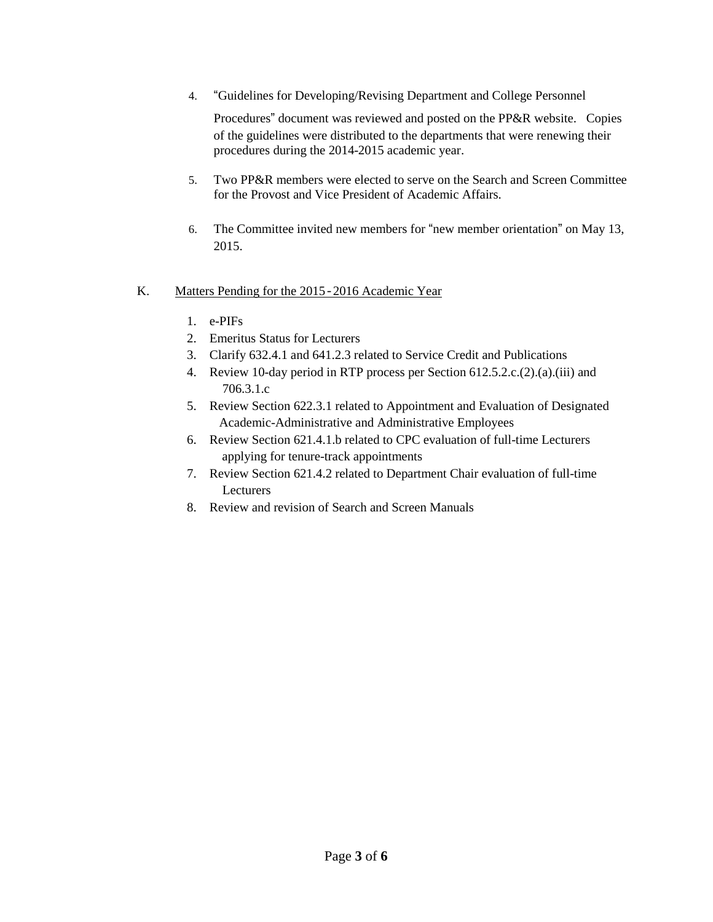4. "Guidelines for Developing/Revising Department and College Personnel

Procedures" document was reviewed and posted on the PP&R website. Copies of the guidelines were distributed to the departments that were renewing their procedures during the 2014-2015 academic year.

- 5. Two PP&R members were elected to serve on the Search and Screen Committee for the Provost and Vice President of Academic Affairs.
- 6. The Committee invited new members for "new member orientation" on May 13, 2015.

## K. Matters Pending for the 2015-2016 Academic Year

- 1. e-PIFs
- 2. Emeritus Status for Lecturers
- 3. Clarify 632.4.1 and 641.2.3 related to Service Credit and Publications
- 4. Review 10-day period in RTP process per Section 612.5.2.c.(2).(a).(iii) and 706.3.1.c
- 5. Review Section 622.3.1 related to Appointment and Evaluation of Designated Academic-Administrative and Administrative Employees
- 6. Review Section 621.4.1.b related to CPC evaluation of full-time Lecturers applying for tenure-track appointments
- 7. Review Section 621.4.2 related to Department Chair evaluation of full-time Lecturers
- 8. Review and revision of Search and Screen Manuals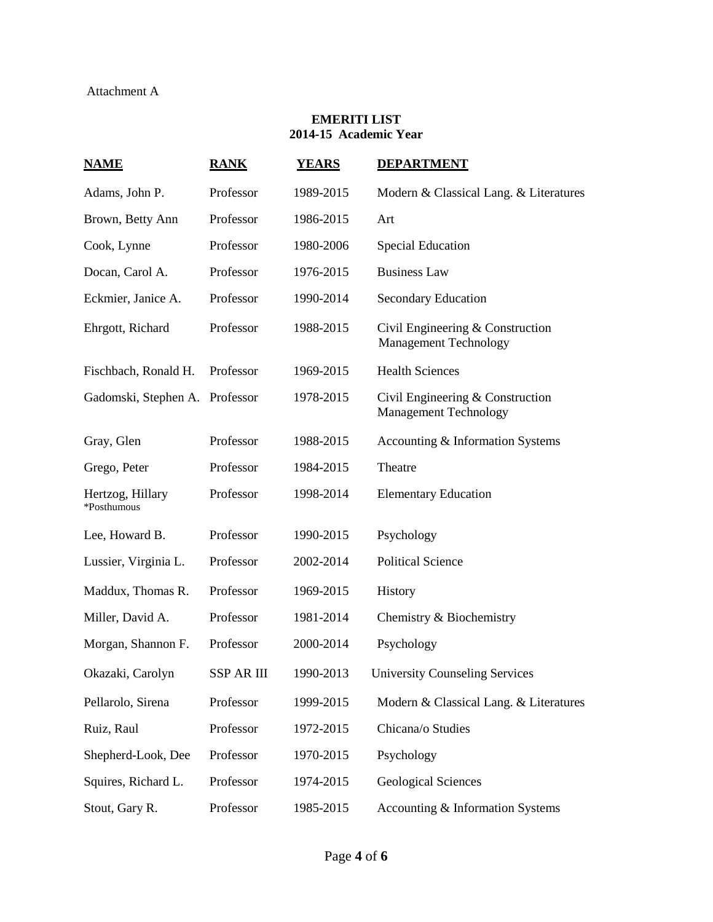## **EMERITI LIST 2014-15 Academic Year**

| <b>NAME</b>                     | <b>RANK</b> | <b>YEARS</b> | <b>DEPARTMENT</b>                                                |  |
|---------------------------------|-------------|--------------|------------------------------------------------------------------|--|
| Adams, John P.                  | Professor   | 1989-2015    | Modern & Classical Lang. & Literatures                           |  |
| Brown, Betty Ann                | Professor   | 1986-2015    | Art                                                              |  |
| Cook, Lynne                     | Professor   | 1980-2006    | <b>Special Education</b>                                         |  |
| Docan, Carol A.                 | Professor   | 1976-2015    | <b>Business Law</b>                                              |  |
| Eckmier, Janice A.              | Professor   | 1990-2014    | <b>Secondary Education</b>                                       |  |
| Ehrgott, Richard                | Professor   | 1988-2015    | Civil Engineering & Construction<br><b>Management Technology</b> |  |
| Fischbach, Ronald H.            | Professor   | 1969-2015    | <b>Health Sciences</b>                                           |  |
| Gadomski, Stephen A. Professor  |             | 1978-2015    | Civil Engineering & Construction<br><b>Management Technology</b> |  |
| Gray, Glen                      | Professor   | 1988-2015    | Accounting & Information Systems                                 |  |
| Grego, Peter                    | Professor   | 1984-2015    | Theatre                                                          |  |
| Hertzog, Hillary<br>*Posthumous | Professor   | 1998-2014    | <b>Elementary Education</b>                                      |  |
| Lee, Howard B.                  | Professor   | 1990-2015    | Psychology                                                       |  |
| Lussier, Virginia L.            | Professor   | 2002-2014    | <b>Political Science</b>                                         |  |
| Maddux, Thomas R.               | Professor   | 1969-2015    | History                                                          |  |
| Miller, David A.                | Professor   | 1981-2014    | Chemistry & Biochemistry                                         |  |
| Morgan, Shannon F.              | Professor   | 2000-2014    | Psychology                                                       |  |
| Okazaki, Carolyn                | SSP AR III  | 1990-2013    | <b>University Counseling Services</b>                            |  |
| Pellarolo, Sirena               | Professor   | 1999-2015    | Modern & Classical Lang. & Literatures                           |  |
| Ruiz, Raul                      | Professor   | 1972-2015    | Chicana/o Studies                                                |  |
| Shepherd-Look, Dee              | Professor   | 1970-2015    | Psychology                                                       |  |
| Squires, Richard L.             | Professor   | 1974-2015    | <b>Geological Sciences</b>                                       |  |
| Stout, Gary R.                  | Professor   | 1985-2015    | Accounting & Information Systems                                 |  |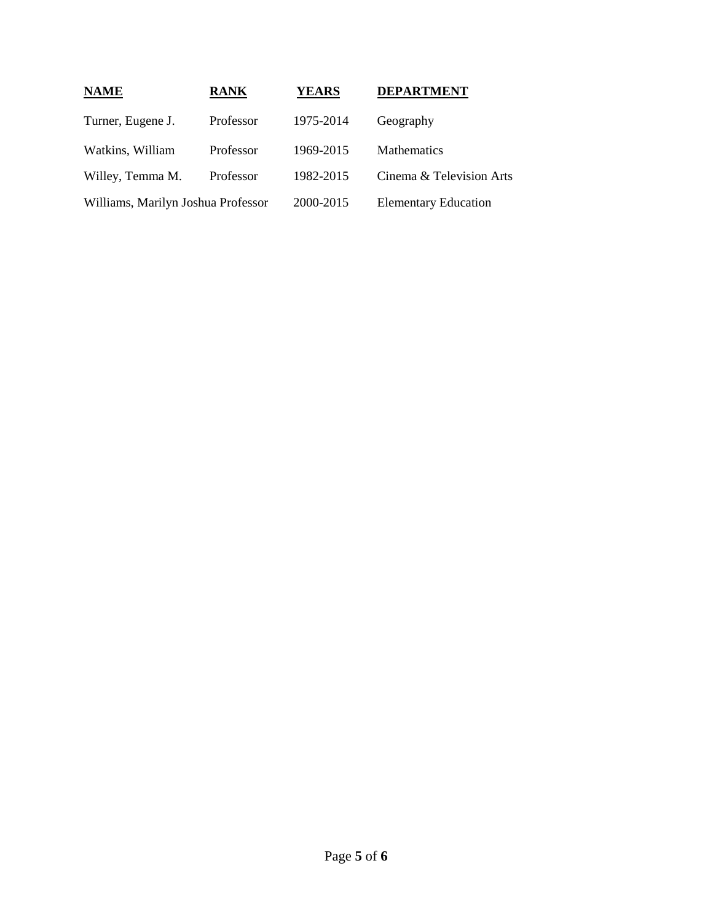| <b>NAME</b>                        | <b>RANK</b> | <b>YEARS</b> | <b>DEPARTMENT</b>           |
|------------------------------------|-------------|--------------|-----------------------------|
| Turner, Eugene J.                  | Professor   | 1975-2014    | Geography                   |
| Watkins, William                   | Professor   | 1969-2015    | <b>Mathematics</b>          |
| Willey, Temma M.                   | Professor   | 1982-2015    | Cinema & Television Arts    |
| Williams, Marilyn Joshua Professor |             | 2000-2015    | <b>Elementary Education</b> |